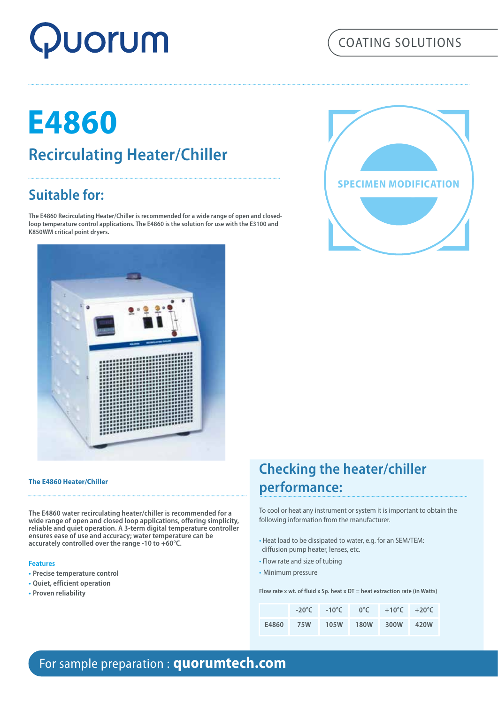# Quorum

## COATING SOLUTIONS

## **E4860 Recirculating Heater/Chiller**

## **Suitable for:**

**The E4860 Recirculating Heater/Chiller is recommended for a wide range of open and closedloop temperature control applications. The E4860 is the solution for use with the E3100 and K850WM critical point dryers.**





#### **The E4860 Heater/Chiller**

**The E4860 water recirculating heater/chiller is recommended for a wide range of open and closed loop applications, offering simplicity, reliable and quiet operation. A 3-term digital temperature controller ensures ease of use and accuracy; water temperature can be accurately controlled over the range -10 to +60°C.** 

#### **Features**

- **• Precise temperature control**
- **• Quiet, efficient operation**
- **• Proven reliability**

## **Checking the heater/chiller performance:**

To cool or heat any instrument or system it is important to obtain the following information from the manufacturer.

- Heat load to be dissipated to water, e.g. for an SEM/TEM: diffusion pump heater, lenses, etc.
- Flow rate and size of tubing
- Minimum pressure

**Flow rate x wt. of fluid x Sp. heat x DT = heat extraction rate (in Watts)**

|       |     |      | $-20^{\circ}$ C $-10^{\circ}$ C $0^{\circ}$ C $+10^{\circ}$ C $+20^{\circ}$ C |  |
|-------|-----|------|-------------------------------------------------------------------------------|--|
| E4860 | 75W | 105W | 180W 300W 420W                                                                |  |

## For sample preparation : **quorumtech.com**